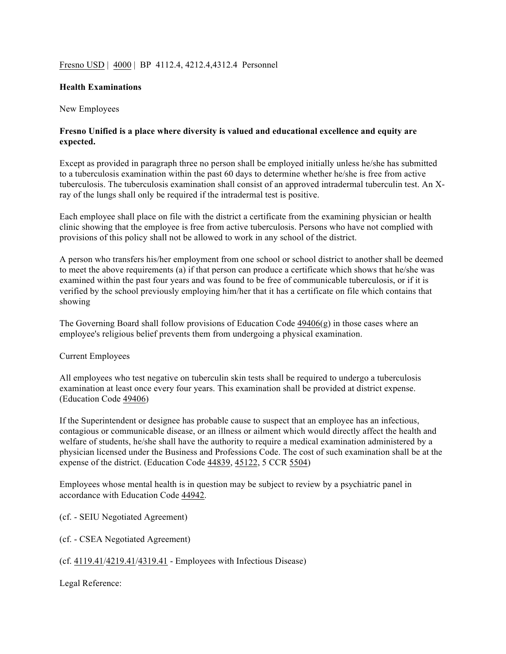# Fresno USD | 4000 | BP 4112.4, 4212.4, 4312.4 Personnel

# **Health Examinations**

### New Employees

# **Fresno Unified is a place where diversity is valued and educational excellence and equity are expected.**

Except as provided in paragraph three no person shall be employed initially unless he/she has submitted to a tuberculosis examination within the past 60 days to determine whether he/she is free from active tuberculosis. The tuberculosis examination shall consist of an approved intradermal tuberculin test. An Xray of the lungs shall only be required if the intradermal test is positive.

Each employee shall place on file with the district a certificate from the examining physician or health clinic showing that the employee is free from active tuberculosis. Persons who have not complied with provisions of this policy shall not be allowed to work in any school of the district.

A person who transfers his/her employment from one school or school district to another shall be deemed to meet the above requirements (a) if that person can produce a certificate which shows that he/she was examined within the past four years and was found to be free of communicable tuberculosis, or if it is verified by the school previously employing him/her that it has a certificate on file which contains that showing

The Governing Board shall follow provisions of Education Code  $49406(g)$  in those cases where an employee's religious belief prevents them from undergoing a physical examination.

### Current Employees

All employees who test negative on tuberculin skin tests shall be required to undergo a tuberculosis examination at least once every four years. This examination shall be provided at district expense. (Education Code 49406)

If the Superintendent or designee has probable cause to suspect that an employee has an infectious, contagious or communicable disease, or an illness or ailment which would directly affect the health and welfare of students, he/she shall have the authority to require a medical examination administered by a physician licensed under the Business and Professions Code. The cost of such examination shall be at the expense of the district. (Education Code 44839, 45122, 5 CCR 5504)

Employees whose mental health is in question may be subject to review by a psychiatric panel in accordance with Education Code 44942.

(cf. - SEIU Negotiated Agreement)

(cf. - CSEA Negotiated Agreement)

(cf. 4119.41/4219.41/4319.41 - Employees with Infectious Disease)

Legal Reference: